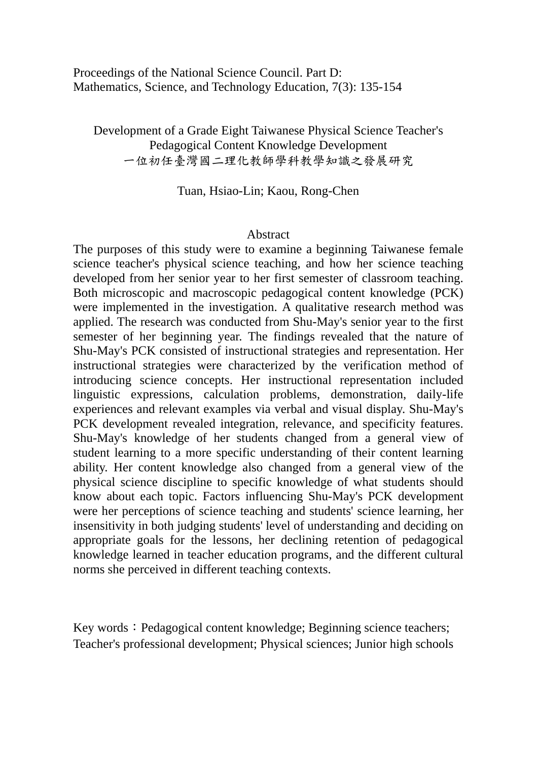Proceedings of the National Science Council. Part D: Mathematics, Science, and Technology Education, 7(3): 135-154

Development of a Grade Eight Taiwanese Physical Science Teacher's Pedagogical Content Knowledge Development 一位初任臺灣國二理化教師學科教學知識之發展研究

Tuan, Hsiao-Lin; Kaou, Rong-Chen

## Abstract

The purposes of this study were to examine a beginning Taiwanese female science teacher's physical science teaching, and how her science teaching developed from her senior year to her first semester of classroom teaching. Both microscopic and macroscopic pedagogical content knowledge (PCK) were implemented in the investigation. A qualitative research method was applied. The research was conducted from Shu-May's senior year to the first semester of her beginning year. The findings revealed that the nature of Shu-May's PCK consisted of instructional strategies and representation. Her instructional strategies were characterized by the verification method of introducing science concepts. Her instructional representation included linguistic expressions, calculation problems, demonstration, daily-life experiences and relevant examples via verbal and visual display. Shu-May's PCK development revealed integration, relevance, and specificity features. Shu-May's knowledge of her students changed from a general view of student learning to a more specific understanding of their content learning ability. Her content knowledge also changed from a general view of the physical science discipline to specific knowledge of what students should know about each topic. Factors influencing Shu-May's PCK development were her perceptions of science teaching and students' science learning, her insensitivity in both judging students' level of understanding and deciding on appropriate goals for the lessons, her declining retention of pedagogical knowledge learned in teacher education programs, and the different cultural norms she perceived in different teaching contexts.

Key words: Pedagogical content knowledge; Beginning science teachers; Teacher's professional development; Physical sciences; Junior high schools